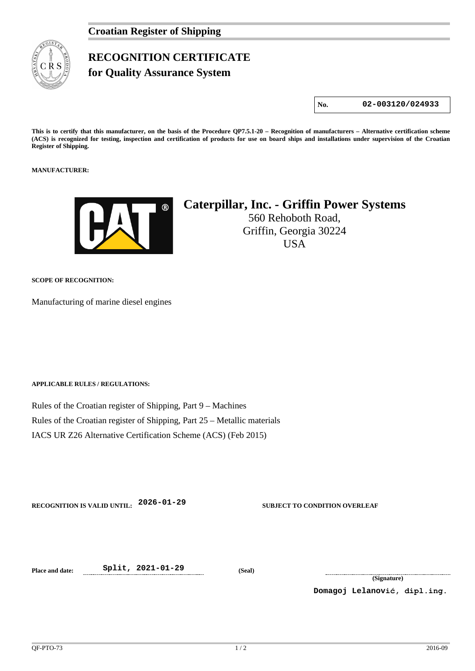

## **RECOGNITION CERTIFICATE**

**for Quality Assurance System** 

**No. 02-003120/024933**

**This is to certify that this manufacturer, on the basis of the Procedure QP7.5.1-20 – Recognition of manufacturers – Alternative certification scheme (ACS) is recognized for testing, inspection and certification of products for use on board ships and installations under supervision of the Croatian Register of Shipping.**

**MANUFACTURER:**



## **Caterpillar, Inc. - Griffin Power Systems**

560 Rehoboth Road, Griffin, Georgia 30224 USA

**SCOPE OF RECOGNITION:**

Manufacturing of marine diesel engines

**APPLICABLE RULES / REGULATIONS:**

Rules of the Croatian register of Shipping, Part 9 – Machines Rules of the Croatian register of Shipping, Part 25 – Metallic materials IACS UR Z26 Alternative Certification Scheme (ACS) (Feb 2015)

**RECOGNITION IS VALID UNTIL: 2026-01-29 SUBJECT TO CONDITION OVERLEAF**

**Place and date: Split, 2021-01-29 (Seal)**

**(Signature)**

**Domagoj Lelanović, dipl.ing.**